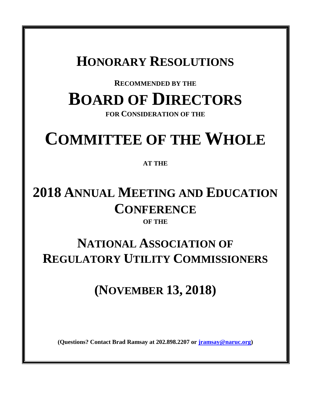### **HONORARY RESOLUTIONS**

# **RECOMMENDED BY THE BOARD OF DIRECTORS**

**FOR CONSIDERATION OF THE**

# **COMMITTEE OF THE WHOLE**

#### **AT THE**

### **2018 ANNUAL MEETING AND EDUCATION CONFERENCE OF THE**

## **NATIONAL ASSOCIATION OF REGULATORY UTILITY COMMISSIONERS**

# **(NOVEMBER 13, 2018)**

**(Questions? Contact Brad Ramsay at 202.898.2207 or [jramsay@naruc.org\)](mailto:jramsay@naruc.org)**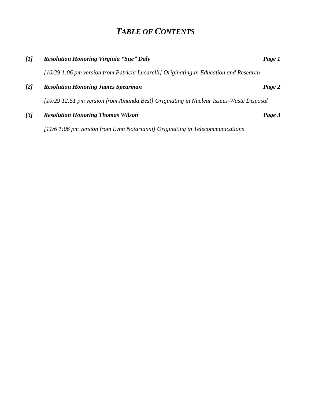### *TABLE OF CONTENTS*

| [1]               | <b>Resolution Honoring Virginia "Sue" Daly</b>                                         | Page 1 |
|-------------------|----------------------------------------------------------------------------------------|--------|
|                   | $10/29$ 1:06 pm version from Patricia Lucarelli Originating in Education and Research  |        |
| $\lceil 2 \rceil$ | <b>Resolution Honoring James Spearman</b>                                              | Page 2 |
|                   | [10/29 12:51 pm version from Amanda Best] Originating in Nuclear Issues-Waste Disposal |        |
| $\overline{3}$    | <b>Resolution Honoring Thomas Wilson</b>                                               | Page 3 |
|                   | $11/6$ 1:06 pm version from Lynn Notarianni] Originating in Telecommunications         |        |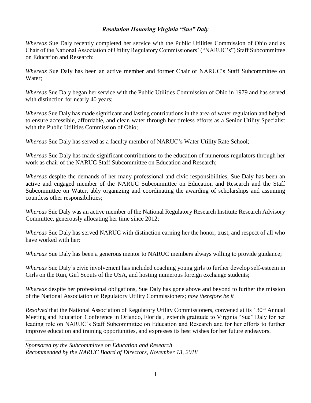#### *Resolution Honoring Virginia "Sue" Daly*

*Whereas* Sue Daly recently completed her service with the Public Utilities Commission of Ohio and as Chair of the National Association of Utility Regulatory Commissioners' ("NARUC's") Staff Subcommittee on Education and Research;

*Whereas* Sue Daly has been an active member and former Chair of NARUC's Staff Subcommittee on Water;

*Whereas* Sue Daly began her service with the Public Utilities Commission of Ohio in 1979 and has served with distinction for nearly 40 years;

*Whereas* Sue Daly has made significant and lasting contributions in the area of water regulation and helped to ensure accessible, affordable, and clean water through her tireless efforts as a Senior Utility Specialist with the Public Utilities Commission of Ohio;

*Whereas* Sue Daly has served as a faculty member of NARUC's Water Utility Rate School;

*Whereas* Sue Daly has made significant contributions to the education of numerous regulators through her work as chair of the NARUC Staff Subcommittee on Education and Research;

*Whereas* despite the demands of her many professional and civic responsibilities, Sue Daly has been an active and engaged member of the NARUC Subcommittee on Education and Research and the Staff Subcommittee on Water, ably organizing and coordinating the awarding of scholarships and assuming countless other responsibilities;

*Whereas* Sue Daly was an active member of the National Regulatory Research Institute Research Advisory Committee, generously allocating her time since 2012;

*Whereas* Sue Daly has served NARUC with distinction earning her the honor, trust, and respect of all who have worked with her;

*Whereas* Sue Daly has been a generous mentor to NARUC members always willing to provide guidance;

*Whereas* Sue Daly's civic involvement has included coaching young girls to further develop self-esteem in Girls on the Run, Girl Scouts of the USA, and hosting numerous foreign exchange students;

*Whereas* despite her professional obligations, Sue Daly has gone above and beyond to further the mission of the National Association of Regulatory Utility Commissioners; *now therefore be it*

*Resolved* that the National Association of Regulatory Utility Commissioners, convened at its 130<sup>th</sup> Annual Meeting and Education Conference in Orlando, Florida , extends gratitude to Virginia "Sue" Daly for her leading role on NARUC's Staff Subcommittee on Education and Research and for her efforts to further improve education and training opportunities, and expresses its best wishes for her future endeavors.

*Sponsored by the Subcommittee on Education and Research Recommended by the NARUC Board of Directors, November 13, 2018*

\_\_\_\_\_\_\_\_\_\_\_\_\_\_\_\_\_\_\_\_\_\_\_\_\_\_\_\_\_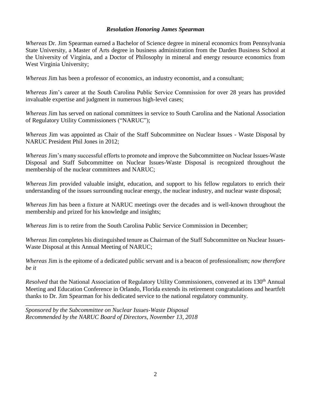#### *Resolution Honoring James Spearman*

*Whereas* Dr. Jim Spearman earned a Bachelor of Science degree in mineral economics from Pennsylvania State University, a Master of Arts degree in business administration from the Darden Business School at the University of Virginia, and a Doctor of Philosophy in mineral and energy resource economics from West Virginia University;

*Whereas* Jim has been a professor of economics, an industry economist, and a consultant;

*Whereas* Jim's career at the South Carolina Public Service Commission for over 28 years has provided invaluable expertise and judgment in numerous high-level cases;

*Whereas* Jim has served on national committees in service to South Carolina and the National Association of Regulatory Utility Commissioners ("NARUC");

*Whereas* Jim was appointed as Chair of the Staff Subcommittee on Nuclear Issues - Waste Disposal by NARUC President Phil Jones in 2012;

*Whereas* Jim's many successful efforts to promote and improve the Subcommittee on Nuclear Issues-Waste Disposal and Staff Subcommittee on Nuclear Issues-Waste Disposal is recognized throughout the membership of the nuclear committees and NARUC;

*Whereas* Jim provided valuable insight, education, and support to his fellow regulators to enrich their understanding of the issues surrounding nuclear energy, the nuclear industry, and nuclear waste disposal;

*Whereas* Jim has been a fixture at NARUC meetings over the decades and is well-known throughout the membership and prized for his knowledge and insights;

*Whereas* Jim is to retire from the South Carolina Public Service Commission in December;

*Whereas* Jim completes his distinguished tenure as Chairman of the Staff Subcommittee on Nuclear Issues-Waste Disposal at this Annual Meeting of NARUC;

*Whereas* Jim is the epitome of a dedicated public servant and is a beacon of professionalism; *now therefore be it*

*Resolved* that the National Association of Regulatory Utility Commissioners, convened at its 130<sup>th</sup> Annual Meeting and Education Conference in Orlando, Florida extends its retirement congratulations and heartfelt thanks to Dr. Jim Spearman for his dedicated service to the national regulatory community.

*Sponsored by the Subcommittee on Nuclear Issues-Waste Disposal Recommended by the NARUC Board of Directors, November 13, 2018*

\_\_\_\_\_\_\_\_\_\_\_\_\_\_\_\_\_\_\_\_\_\_\_\_\_\_\_\_\_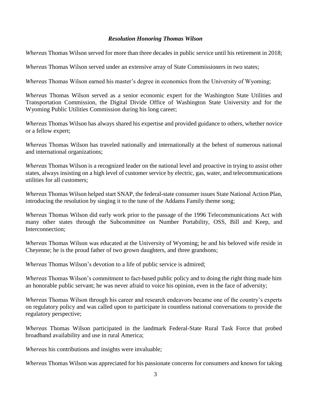#### *Resolution Honoring Thomas Wilson*

*Whereas* Thomas Wilson served for more than three decades in public service until his retirement in 2018;

*Whereas* Thomas Wilson served under an extensive array of State Commissioners in two states;

*Whereas* Thomas Wilson earned his master's degree in economics from the University of Wyoming;

*Whereas* Thomas Wilson served as a senior economic expert for the Washington State Utilities and Transportation Commission, the Digital Divide Office of Washington State University and for the Wyoming Public Utilities Commission during his long career;

*Whereas* Thomas Wilson has always shared his expertise and provided guidance to others, whether novice or a fellow expert;

*Whereas* Thomas Wilson has traveled nationally and internationally at the behest of numerous national and international organizations;

*Whereas* Thomas Wilson is a recognized leader on the national level and proactive in trying to assist other states, always insisting on a high level of customer service by electric, gas, water, and telecommunications utilities for all customers;

*Whereas* Thomas Wilson helped start SNAP, the federal-state consumer issues State National Action Plan, introducing the resolution by singing it to the tune of the Addams Family theme song;

*Whereas* Thomas Wilson did early work prior to the passage of the 1996 Telecommunications Act with many other states through the Subcommittee on Number Portability, OSS, Bill and Keep, and Interconnection;

*Whereas* Thomas Wilson was educated at the University of Wyoming; he and his beloved wife reside in Cheyenne; he is the proud father of two grown daughters, and three grandsons;

*Whereas* Thomas Wilson's devotion to a life of public service is admired;

*Whereas* Thomas Wilson's commitment to fact-based public policy and to doing the right thing made him an honorable public servant; he was never afraid to voice his opinion, even in the face of adversity;

*Whereas* Thomas Wilson through his career and research endeavors became one of the country's experts on regulatory policy and was called upon to participate in countless national conversations to provide the regulatory perspective;

*Whereas* Thomas Wilson participated in the landmark Federal-State Rural Task Force that probed broadband availability and use in rural America;

*Whereas* his contributions and insights were invaluable;

*Whereas* Thomas Wilson was appreciated for his passionate concerns for consumers and known for taking